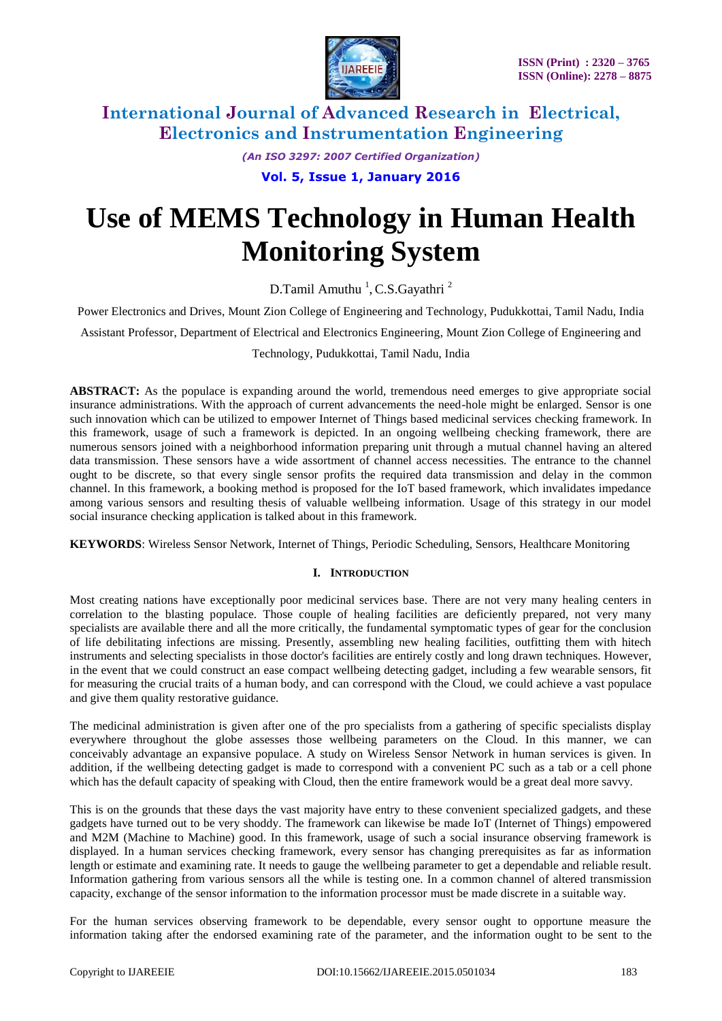

*(An ISO 3297: 2007 Certified Organization)*

**Vol. 5, Issue 1, January 2016**

# **Use of MEMS Technology in Human Health Monitoring System**

D.Tamil Amuthu<sup>1</sup>, C.S.Gayathri<sup>2</sup>

Power Electronics and Drives, Mount Zion College of Engineering and Technology, Pudukkottai, Tamil Nadu, India

Assistant Professor, Department of Electrical and Electronics Engineering, Mount Zion College of Engineering and

Technology, Pudukkottai, Tamil Nadu, India

ABSTRACT: As the populace is expanding around the world, tremendous need emerges to give appropriate social insurance administrations. With the approach of current advancements the need-hole might be enlarged. Sensor is one such innovation which can be utilized to empower Internet of Things based medicinal services checking framework. In this framework, usage of such a framework is depicted. In an ongoing wellbeing checking framework, there are numerous sensors joined with a neighborhood information preparing unit through a mutual channel having an altered data transmission. These sensors have a wide assortment of channel access necessities. The entrance to the channel ought to be discrete, so that every single sensor profits the required data transmission and delay in the common channel. In this framework, a booking method is proposed for the IoT based framework, which invalidates impedance among various sensors and resulting thesis of valuable wellbeing information. Usage of this strategy in our model social insurance checking application is talked about in this framework.

**KEYWORDS**: Wireless Sensor Network, Internet of Things, Periodic Scheduling, Sensors, Healthcare Monitoring

#### **I. INTRODUCTION**

Most creating nations have exceptionally poor medicinal services base. There are not very many healing centers in correlation to the blasting populace. Those couple of healing facilities are deficiently prepared, not very many specialists are available there and all the more critically, the fundamental symptomatic types of gear for the conclusion of life debilitating infections are missing. Presently, assembling new healing facilities, outfitting them with hitech instruments and selecting specialists in those doctor's facilities are entirely costly and long drawn techniques. However, in the event that we could construct an ease compact wellbeing detecting gadget, including a few wearable sensors, fit for measuring the crucial traits of a human body, and can correspond with the Cloud, we could achieve a vast populace and give them quality restorative guidance.

The medicinal administration is given after one of the pro specialists from a gathering of specific specialists display everywhere throughout the globe assesses those wellbeing parameters on the Cloud. In this manner, we can conceivably advantage an expansive populace. A study on Wireless Sensor Network in human services is given. In addition, if the wellbeing detecting gadget is made to correspond with a convenient PC such as a tab or a cell phone which has the default capacity of speaking with Cloud, then the entire framework would be a great deal more savvy.

This is on the grounds that these days the vast majority have entry to these convenient specialized gadgets, and these gadgets have turned out to be very shoddy. The framework can likewise be made IoT (Internet of Things) empowered and M2M (Machine to Machine) good. In this framework, usage of such a social insurance observing framework is displayed. In a human services checking framework, every sensor has changing prerequisites as far as information length or estimate and examining rate. It needs to gauge the wellbeing parameter to get a dependable and reliable result. Information gathering from various sensors all the while is testing one. In a common channel of altered transmission capacity, exchange of the sensor information to the information processor must be made discrete in a suitable way.

For the human services observing framework to be dependable, every sensor ought to opportune measure the information taking after the endorsed examining rate of the parameter, and the information ought to be sent to the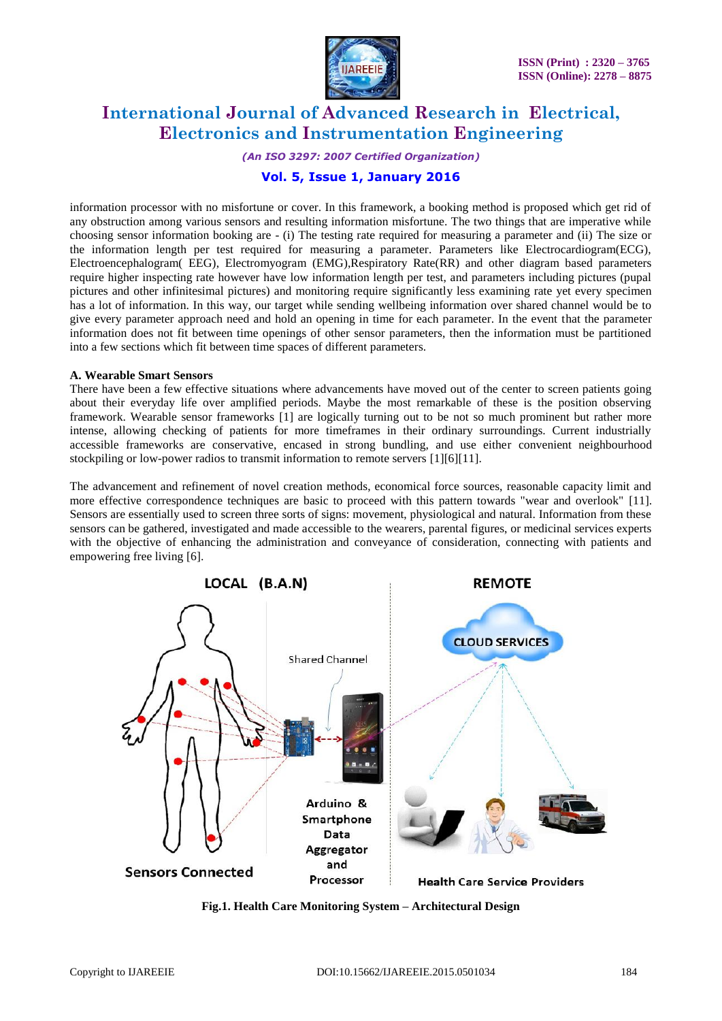

*(An ISO 3297: 2007 Certified Organization)*

### **Vol. 5, Issue 1, January 2016**

information processor with no misfortune or cover. In this framework, a booking method is proposed which get rid of any obstruction among various sensors and resulting information misfortune. The two things that are imperative while choosing sensor information booking are - (i) The testing rate required for measuring a parameter and (ii) The size or the information length per test required for measuring a parameter. Parameters like Electrocardiogram(ECG), Electroencephalogram( EEG), Electromyogram (EMG),Respiratory Rate(RR) and other diagram based parameters require higher inspecting rate however have low information length per test, and parameters including pictures (pupal pictures and other infinitesimal pictures) and monitoring require significantly less examining rate yet every specimen has a lot of information. In this way, our target while sending wellbeing information over shared channel would be to give every parameter approach need and hold an opening in time for each parameter. In the event that the parameter information does not fit between time openings of other sensor parameters, then the information must be partitioned into a few sections which fit between time spaces of different parameters.

#### **A. Wearable Smart Sensors**

There have been a few effective situations where advancements have moved out of the center to screen patients going about their everyday life over amplified periods. Maybe the most remarkable of these is the position observing framework. Wearable sensor frameworks [1] are logically turning out to be not so much prominent but rather more intense, allowing checking of patients for more timeframes in their ordinary surroundings. Current industrially accessible frameworks are conservative, encased in strong bundling, and use either convenient neighbourhood stockpiling or low-power radios to transmit information to remote servers [1][6][11].

The advancement and refinement of novel creation methods, economical force sources, reasonable capacity limit and more effective correspondence techniques are basic to proceed with this pattern towards "wear and overlook" [11]. Sensors are essentially used to screen three sorts of signs: movement, physiological and natural. Information from these sensors can be gathered, investigated and made accessible to the wearers, parental figures, or medicinal services experts with the objective of enhancing the administration and conveyance of consideration, connecting with patients and empowering free living [6].



**Fig.1. Health Care Monitoring System – Architectural Design**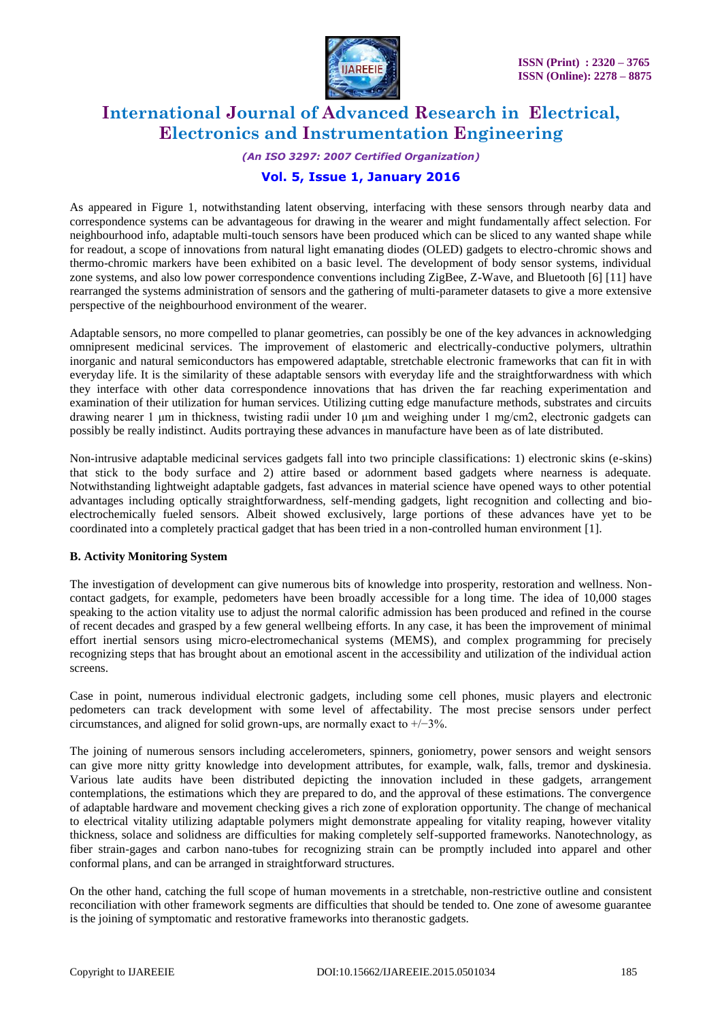

*(An ISO 3297: 2007 Certified Organization)*

### **Vol. 5, Issue 1, January 2016**

As appeared in Figure 1, notwithstanding latent observing, interfacing with these sensors through nearby data and correspondence systems can be advantageous for drawing in the wearer and might fundamentally affect selection. For neighbourhood info, adaptable multi-touch sensors have been produced which can be sliced to any wanted shape while for readout, a scope of innovations from natural light emanating diodes (OLED) gadgets to electro-chromic shows and thermo-chromic markers have been exhibited on a basic level. The development of body sensor systems, individual zone systems, and also low power correspondence conventions including ZigBee, Z-Wave, and Bluetooth [6] [11] have rearranged the systems administration of sensors and the gathering of multi-parameter datasets to give a more extensive perspective of the neighbourhood environment of the wearer.

Adaptable sensors, no more compelled to planar geometries, can possibly be one of the key advances in acknowledging omnipresent medicinal services. The improvement of elastomeric and electrically-conductive polymers, ultrathin inorganic and natural semiconductors has empowered adaptable, stretchable electronic frameworks that can fit in with everyday life. It is the similarity of these adaptable sensors with everyday life and the straightforwardness with which they interface with other data correspondence innovations that has driven the far reaching experimentation and examination of their utilization for human services. Utilizing cutting edge manufacture methods, substrates and circuits drawing nearer 1 μm in thickness, twisting radii under 10 μm and weighing under 1 mg/cm2, electronic gadgets can possibly be really indistinct. Audits portraying these advances in manufacture have been as of late distributed.

Non-intrusive adaptable medicinal services gadgets fall into two principle classifications: 1) electronic skins (e-skins) that stick to the body surface and 2) attire based or adornment based gadgets where nearness is adequate. Notwithstanding lightweight adaptable gadgets, fast advances in material science have opened ways to other potential advantages including optically straightforwardness, self-mending gadgets, light recognition and collecting and bioelectrochemically fueled sensors. Albeit showed exclusively, large portions of these advances have yet to be coordinated into a completely practical gadget that has been tried in a non-controlled human environment [1].

#### **B. Activity Monitoring System**

The investigation of development can give numerous bits of knowledge into prosperity, restoration and wellness. Noncontact gadgets, for example, pedometers have been broadly accessible for a long time. The idea of 10,000 stages speaking to the action vitality use to adjust the normal calorific admission has been produced and refined in the course of recent decades and grasped by a few general wellbeing efforts. In any case, it has been the improvement of minimal effort inertial sensors using micro-electromechanical systems (MEMS), and complex programming for precisely recognizing steps that has brought about an emotional ascent in the accessibility and utilization of the individual action screens.

Case in point, numerous individual electronic gadgets, including some cell phones, music players and electronic pedometers can track development with some level of affectability. The most precise sensors under perfect circumstances, and aligned for solid grown-ups, are normally exact to +/−3%.

The joining of numerous sensors including accelerometers, spinners, goniometry, power sensors and weight sensors can give more nitty gritty knowledge into development attributes, for example, walk, falls, tremor and dyskinesia. Various late audits have been distributed depicting the innovation included in these gadgets, arrangement contemplations, the estimations which they are prepared to do, and the approval of these estimations. The convergence of adaptable hardware and movement checking gives a rich zone of exploration opportunity. The change of mechanical to electrical vitality utilizing adaptable polymers might demonstrate appealing for vitality reaping, however vitality thickness, solace and solidness are difficulties for making completely self-supported frameworks. Nanotechnology, as fiber strain-gages and carbon nano-tubes for recognizing strain can be promptly included into apparel and other conformal plans, and can be arranged in straightforward structures.

On the other hand, catching the full scope of human movements in a stretchable, non-restrictive outline and consistent reconciliation with other framework segments are difficulties that should be tended to. One zone of awesome guarantee is the joining of symptomatic and restorative frameworks into theranostic gadgets.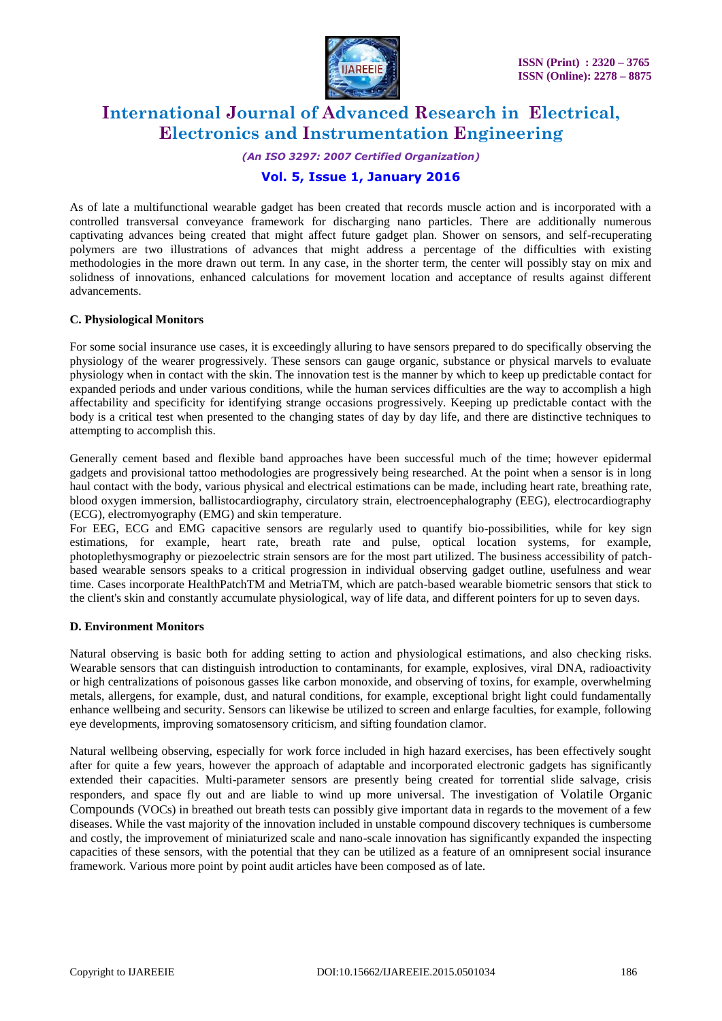

*(An ISO 3297: 2007 Certified Organization)*

### **Vol. 5, Issue 1, January 2016**

As of late a multifunctional wearable gadget has been created that records muscle action and is incorporated with a controlled transversal conveyance framework for discharging nano particles. There are additionally numerous captivating advances being created that might affect future gadget plan. Shower on sensors, and self-recuperating polymers are two illustrations of advances that might address a percentage of the difficulties with existing methodologies in the more drawn out term. In any case, in the shorter term, the center will possibly stay on mix and solidness of innovations, enhanced calculations for movement location and acceptance of results against different advancements.

#### **C. Physiological Monitors**

For some social insurance use cases, it is exceedingly alluring to have sensors prepared to do specifically observing the physiology of the wearer progressively. These sensors can gauge organic, substance or physical marvels to evaluate physiology when in contact with the skin. The innovation test is the manner by which to keep up predictable contact for expanded periods and under various conditions, while the human services difficulties are the way to accomplish a high affectability and specificity for identifying strange occasions progressively. Keeping up predictable contact with the body is a critical test when presented to the changing states of day by day life, and there are distinctive techniques to attempting to accomplish this.

Generally cement based and flexible band approaches have been successful much of the time; however epidermal gadgets and provisional tattoo methodologies are progressively being researched. At the point when a sensor is in long haul contact with the body, various physical and electrical estimations can be made, including heart rate, breathing rate, blood oxygen immersion, ballistocardiography, circulatory strain, electroencephalography (EEG), electrocardiography (ECG), electromyography (EMG) and skin temperature.

For EEG, ECG and EMG capacitive sensors are regularly used to quantify bio-possibilities, while for key sign estimations, for example, heart rate, breath rate and pulse, optical location systems, for example, photoplethysmography or piezoelectric strain sensors are for the most part utilized. The business accessibility of patchbased wearable sensors speaks to a critical progression in individual observing gadget outline, usefulness and wear time. Cases incorporate HealthPatchTM and MetriaTM, which are patch-based wearable biometric sensors that stick to the client's skin and constantly accumulate physiological, way of life data, and different pointers for up to seven days.

#### **D. Environment Monitors**

Natural observing is basic both for adding setting to action and physiological estimations, and also checking risks. Wearable sensors that can distinguish introduction to contaminants, for example, explosives, viral DNA, radioactivity or high centralizations of poisonous gasses like carbon monoxide, and observing of toxins, for example, overwhelming metals, allergens, for example, dust, and natural conditions, for example, exceptional bright light could fundamentally enhance wellbeing and security. Sensors can likewise be utilized to screen and enlarge faculties, for example, following eye developments, improving somatosensory criticism, and sifting foundation clamor.

Natural wellbeing observing, especially for work force included in high hazard exercises, has been effectively sought after for quite a few years, however the approach of adaptable and incorporated electronic gadgets has significantly extended their capacities. Multi-parameter sensors are presently being created for torrential slide salvage, crisis responders, and space fly out and are liable to wind up more universal. The investigation of Volatile Organic Compounds (VOCs) in breathed out breath tests can possibly give important data in regards to the movement of a few diseases. While the vast majority of the innovation included in unstable compound discovery techniques is cumbersome and costly, the improvement of miniaturized scale and nano-scale innovation has significantly expanded the inspecting capacities of these sensors, with the potential that they can be utilized as a feature of an omnipresent social insurance framework. Various more point by point audit articles have been composed as of late.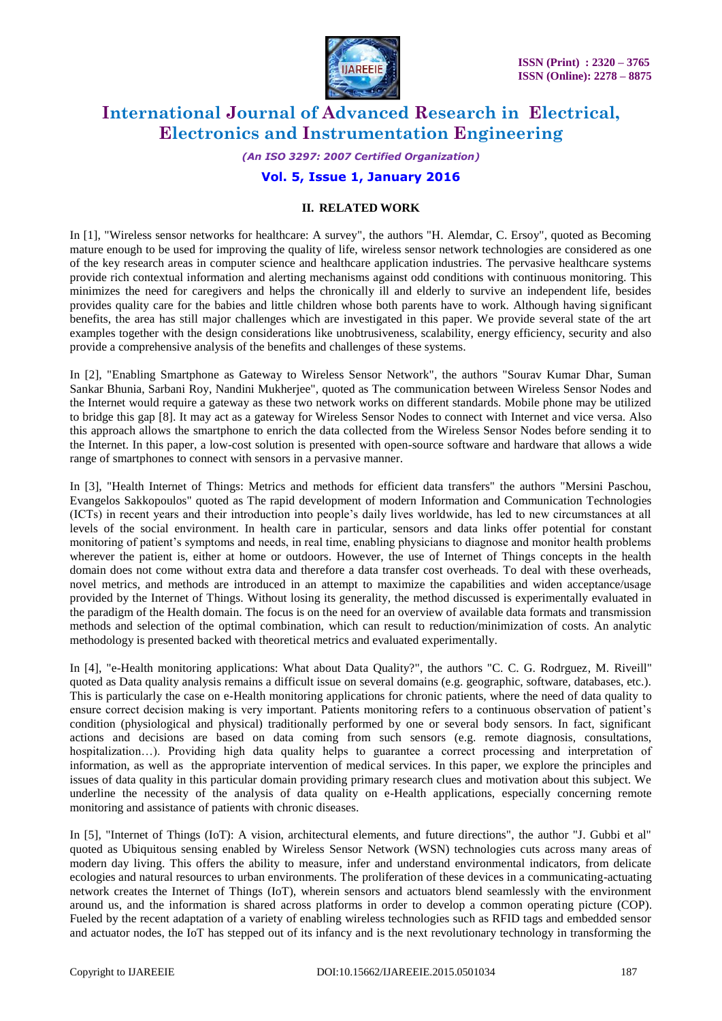

*(An ISO 3297: 2007 Certified Organization)*

### **Vol. 5, Issue 1, January 2016**

#### **II. RELATED WORK**

In [1], "Wireless sensor networks for healthcare: A survey", the authors "H. Alemdar, C. Ersoy", quoted as Becoming mature enough to be used for improving the quality of life, wireless sensor network technologies are considered as one of the key research areas in computer science and healthcare application industries. The pervasive healthcare systems provide rich contextual information and alerting mechanisms against odd conditions with continuous monitoring. This minimizes the need for caregivers and helps the chronically ill and elderly to survive an independent life, besides provides quality care for the babies and little children whose both parents have to work. Although having significant benefits, the area has still major challenges which are investigated in this paper. We provide several state of the art examples together with the design considerations like unobtrusiveness, scalability, energy efficiency, security and also provide a comprehensive analysis of the benefits and challenges of these systems.

In [2], "Enabling Smartphone as Gateway to Wireless Sensor Network", the authors "Sourav Kumar Dhar, Suman Sankar Bhunia, Sarbani Roy, Nandini Mukherjee", quoted as The communication between Wireless Sensor Nodes and the Internet would require a gateway as these two network works on different standards. Mobile phone may be utilized to bridge this gap [8]. It may act as a gateway for Wireless Sensor Nodes to connect with Internet and vice versa. Also this approach allows the smartphone to enrich the data collected from the Wireless Sensor Nodes before sending it to the Internet. In this paper, a low-cost solution is presented with open-source software and hardware that allows a wide range of smartphones to connect with sensors in a pervasive manner.

In [3], "Health Internet of Things: Metrics and methods for efficient data transfers" the authors "Mersini Paschou, Evangelos Sakkopoulos" quoted as The rapid development of modern Information and Communication Technologies (ICTs) in recent years and their introduction into people's daily lives worldwide, has led to new circumstances at all levels of the social environment. In health care in particular, sensors and data links offer potential for constant monitoring of patient's symptoms and needs, in real time, enabling physicians to diagnose and monitor health problems wherever the patient is, either at home or outdoors. However, the use of Internet of Things concepts in the health domain does not come without extra data and therefore a data transfer cost overheads. To deal with these overheads, novel metrics, and methods are introduced in an attempt to maximize the capabilities and widen acceptance/usage provided by the Internet of Things. Without losing its generality, the method discussed is experimentally evaluated in the paradigm of the Health domain. The focus is on the need for an overview of available data formats and transmission methods and selection of the optimal combination, which can result to reduction/minimization of costs. An analytic methodology is presented backed with theoretical metrics and evaluated experimentally.

In [4], "e-Health monitoring applications: What about Data Quality?", the authors "C. C. G. Rodrguez, M. Riveill" quoted as Data quality analysis remains a difficult issue on several domains (e.g. geographic, software, databases, etc.). This is particularly the case on e-Health monitoring applications for chronic patients, where the need of data quality to ensure correct decision making is very important. Patients monitoring refers to a continuous observation of patient's condition (physiological and physical) traditionally performed by one or several body sensors. In fact, significant actions and decisions are based on data coming from such sensors (e.g. remote diagnosis, consultations, hospitalization…). Providing high data quality helps to guarantee a correct processing and interpretation of information, as well as the appropriate intervention of medical services. In this paper, we explore the principles and issues of data quality in this particular domain providing primary research clues and motivation about this subject. We underline the necessity of the analysis of data quality on e-Health applications, especially concerning remote monitoring and assistance of patients with chronic diseases.

In [5], "Internet of Things (IoT): A vision, architectural elements, and future directions", the author "J. Gubbi et al" quoted as Ubiquitous sensing enabled by Wireless Sensor Network (WSN) technologies cuts across many areas of modern day living. This offers the ability to measure, infer and understand environmental indicators, from delicate ecologies and natural resources to urban environments. The proliferation of these devices in a communicating-actuating network creates the Internet of Things (IoT), wherein sensors and actuators blend seamlessly with the environment around us, and the information is shared across platforms in order to develop a common operating picture (COP). Fueled by the recent adaptation of a variety of enabling wireless technologies such as RFID tags and embedded sensor and actuator nodes, the IoT has stepped out of its infancy and is the next revolutionary technology in transforming the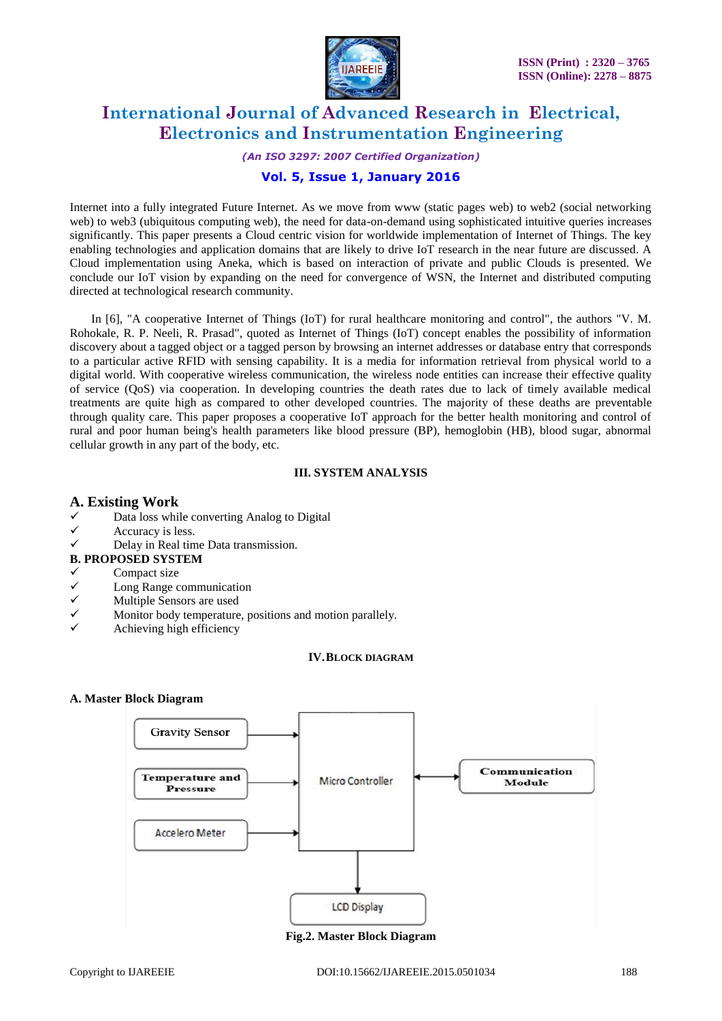

*(An ISO 3297: 2007 Certified Organization)*

### **Vol. 5, Issue 1, January 2016**

Internet into a fully integrated Future Internet. As we move from www (static pages web) to web2 (social networking web) to web3 (ubiquitous computing web), the need for data-on-demand using sophisticated intuitive queries increases significantly. This paper presents a Cloud centric vision for worldwide implementation of Internet of Things. The key enabling technologies and application domains that are likely to drive IoT research in the near future are discussed. A Cloud implementation using Aneka, which is based on interaction of private and public Clouds is presented. We conclude our IoT vision by expanding on the need for convergence of WSN, the Internet and distributed computing directed at technological research community.

In [6], "A cooperative Internet of Things (IoT) for rural healthcare monitoring and control", the authors "V. M. Rohokale, R. P. Neeli, R. Prasad", quoted as Internet of Things (IoT) concept enables the possibility of information discovery about a tagged object or a tagged person by browsing an internet addresses or database entry that corresponds to a particular active RFID with sensing capability. It is a media for information retrieval from physical world to a digital world. With cooperative wireless communication, the wireless node entities can increase their effective quality of service (QoS) via cooperation. In developing countries the death rates due to lack of timely available medical treatments are quite high as compared to other developed countries. The majority of these deaths are preventable through quality care. This paper proposes a cooperative IoT approach for the better health monitoring and control of rural and poor human being's health parameters like blood pressure (BP), hemoglobin (HB), blood sugar, abnormal cellular growth in any part of the body, etc.

#### **III. SYSTEM ANALYSIS**

#### **A. Existing Work**

- Data loss while converting Analog to Digital
- $\checkmark$  Accuracy is less.
- $\checkmark$  Delay in Real time Data transmission.
- **B. PROPOSED SYSTEM**
- 
- $\checkmark$  Compact size<br>
Long Range c  $\checkmark$  Long Range communication<br> $\checkmark$  Multiple Sensors are used
- $\checkmark$  Multiple Sensors are used<br>Monitor body temperature
- Monitor body temperature, positions and motion parallely.
- Achieving high efficiency

#### **IV.BLOCK DIAGRAM**

#### **A. Master Block Diagram**



**Fig.2. Master Block Diagram**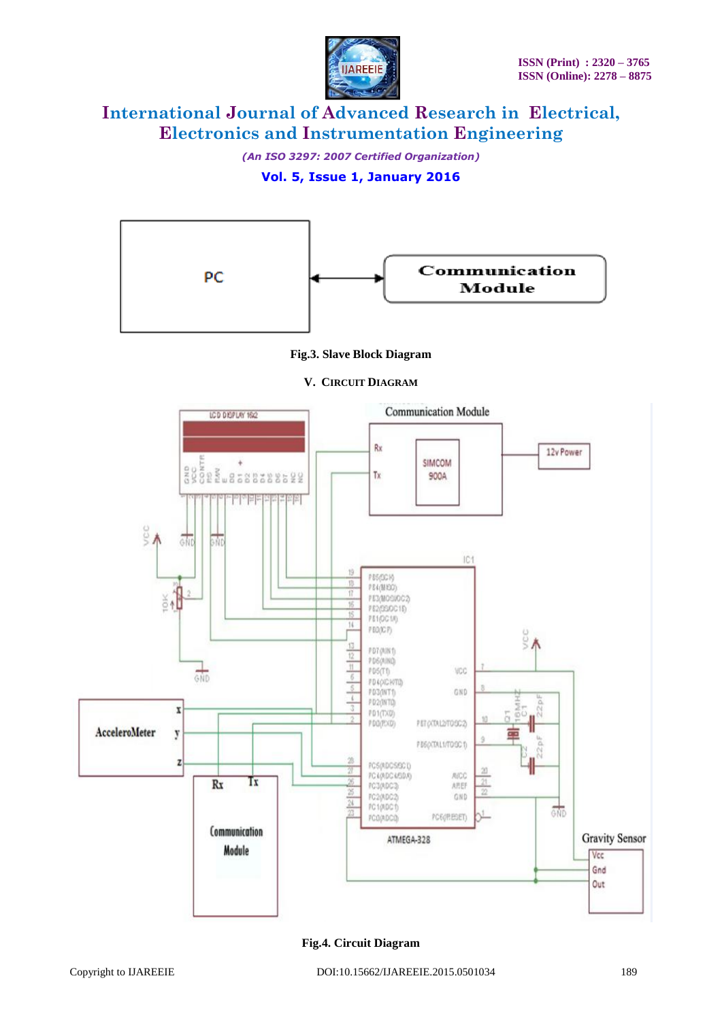

*(An ISO 3297: 2007 Certified Organization)*

### **Vol. 5, Issue 1, January 2016**



### **Fig.3. Slave Block Diagram**

**V. CIRCUIT DIAGRAM**



#### **Fig.4. Circuit Diagram**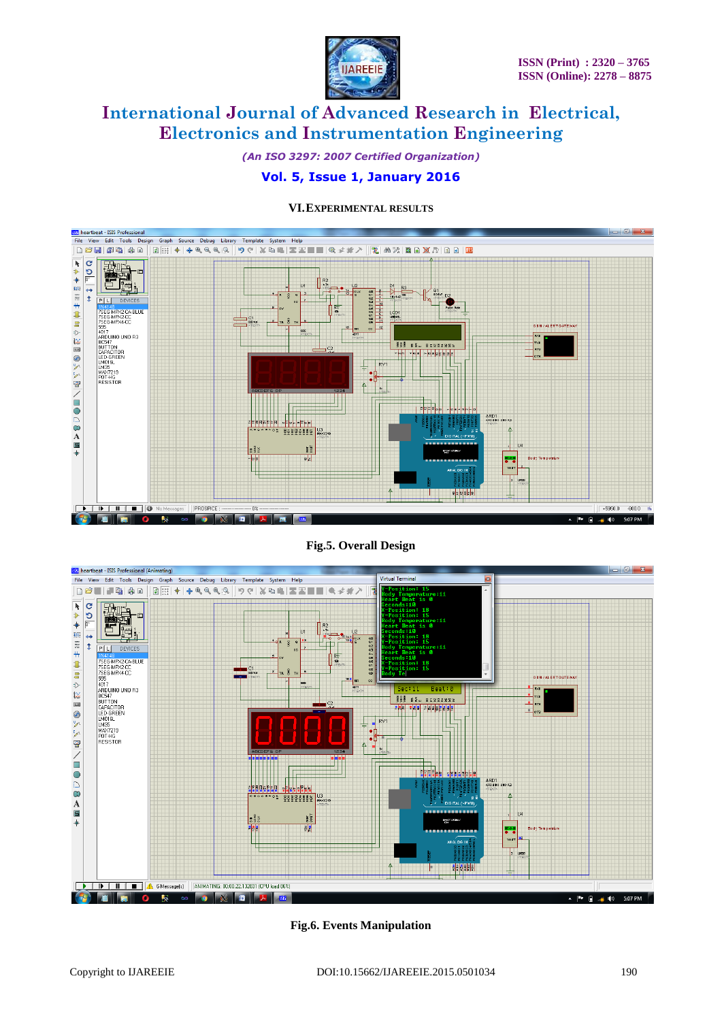

*(An ISO 3297: 2007 Certified Organization)*

### **Vol. 5, Issue 1, January 2016**



#### **VI.EXPERIMENTAL RESULTS**

**Fig.5. Overall Design**



**Fig.6. Events Manipulation**